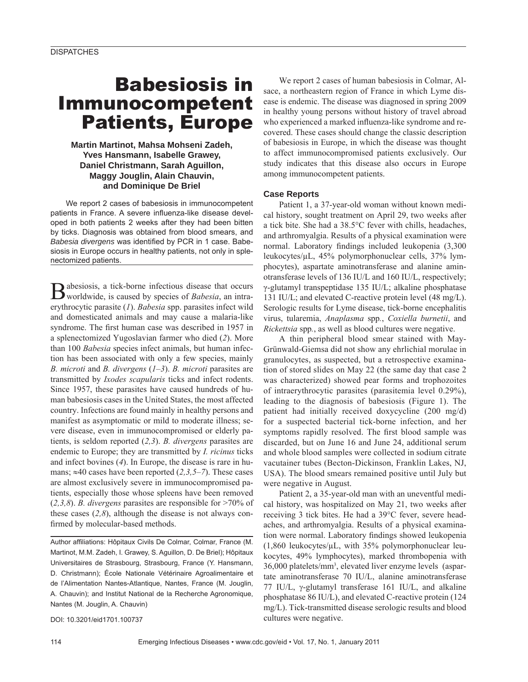# Babesiosis in Immunocompetent Patients, Europe

**Martin Martinot, Mahsa Mohseni Zadeh, Yves Hansmann, Isabelle Grawey, Daniel Christmann, Sarah Aguillon, Maggy Jouglin, Alain Chauvin, and Dominique De Briel**

We report 2 cases of babesiosis in immunocompetent patients in France. A severe influenza-like disease developed in both patients 2 weeks after they had been bitten by ticks. Diagnosis was obtained from blood smears, and Babesia divergens was identified by PCR in 1 case. Babesiosis in Europe occurs in healthy patients, not only in splenectomized patients.

Babesiosis, a tick-borne infectious disease that occurs worldwide, is caused by species of *Babesia*, an intraerythrocytic parasite (*1*). *Babesia* spp. parasites infect wild and domesticated animals and may cause a malaria-like syndrome. The first human case was described in 1957 in a splenectomized Yugoslavian farmer who died (*2*). More than 100 *Babesia* species infect animals, but human infection has been associated with only a few species, mainly *B. microti* and *B. divergens* (*1–3*). *B. microti* parasites are transmitted by *Ixodes scapularis* ticks and infect rodents. Since 1957, these parasites have caused hundreds of human babesiosis cases in the United States, the most affected country. Infections are found mainly in healthy persons and manifest as asymptomatic or mild to moderate illness; severe disease, even in immunocompromised or elderly patients, is seldom reported (*2,3*). *B. divergens* parasites are endemic to Europe; they are transmitted by *I. ricinus* ticks and infect bovines (*4*). In Europe, the disease is rare in humans;  $\approx$ 40 cases have been reported (2,3,5–7). These cases are almost exclusively severe in immunocompromised patients, especially those whose spleens have been removed (*2,3,8*). *B. divergens* parasites are responsible for >70% of these cases (*2,8*), although the disease is not always confirmed by molecular-based methods.

Author affiliations: Hôpitaux Civils De Colmar, Colmar, France (M. Martinot, M.M. Zadeh, I. Grawey, S. Aguillon, D. De Briel); Hôpitaux Universitaires de Strasbourg, Strasbourg, France (Y. Hansmann, D. Christmann); École Nationale Vétérinaire Agroalimentaire et de l'Alimentation Nantes-Atlantique, Nantes, France (M. Jouglin, A. Chauvin): and Institut National de la Recherche Agronomique. Nantes (M. Jouglin, A. Chauvin)

DOI: 10.3201/eid1701.100737

We report 2 cases of human babesiosis in Colmar, Alsace, a northeastern region of France in which Lyme disease is endemic. The disease was diagnosed in spring 2009 in healthy young persons without history of travel abroad who experienced a marked influenza-like syndrome and recovered. These cases should change the classic description of babesiosis in Europe, in which the disease was thought to affect immunocompromised patients exclusively. Our study indicates that this disease also occurs in Europe among immunocompetent patients.

### **Case Reports**

Patient 1, a 37-year-old woman without known medical history, sought treatment on April 29, two weeks after a tick bite. She had a 38.5°C fever with chills, headaches, and arthromyalgia. Results of a physical examination were normal. Laboratory findings included leukopenia (3,300 leukocytes/μL, 45% polymorphonuclear cells, 37% lymphocytes), aspartate aminotransferase and alanine aminotransferase levels of 136 IU/L and 160 IU/L, respectively; γ-glutamyl transpeptidase 135 IU/L; alkaline phosphatase 131 IU/L; and elevated C-reactive protein level (48 mg/L). Serologic results for Lyme disease, tick-borne encephalitis virus, tularemia, *Anaplasma* spp*.*, *Coxiella burnetii*, and *Rickettsia* spp*.*, as well as blood cultures were negative.

A thin peripheral blood smear stained with May-Grünwald-Giemsa did not show any ehrlichial morulae in granulocytes, as suspected, but a retrospective examination of stored slides on May 22 (the same day that case 2 was characterized) showed pear forms and trophozoites of intraerythrocytic parasites (parasitemia level 0.29%), leading to the diagnosis of babesiosis (Figure 1). The patient had initially received doxycycline (200 mg/d) for a suspected bacterial tick-borne infection, and her symptoms rapidly resolved. The first blood sample was discarded, but on June 16 and June 24, additional serum and whole blood samples were collected in sodium citrate vacutainer tubes (Becton-Dickinson, Franklin Lakes, NJ, USA). The blood smears remained positive until July but were negative in August.

Patient 2, a 35-year-old man with an uneventful medical history, was hospitalized on May 21, two weeks after receiving 3 tick bites. He had a 39°C fever, severe headaches, and arthromyalgia. Results of a physical examination were normal. Laboratory findings showed leukopenia (1,860 leukocytes/μL, with 35% polymorphonuclear leukocytes, 49% lymphocytes), marked thrombopenia with 36,000 platelets/mm3 , elevated liver enzyme levels (aspartate aminotransferase 70 IU/L, alanine aminotransferase 77 IU/L, γ-glutamyl transferase 161 IU/L, and alkaline phosphatase 86 IU/L), and elevated C-reactive protein (124 mg/L). Tick-transmitted disease serologic results and blood cultures were negative.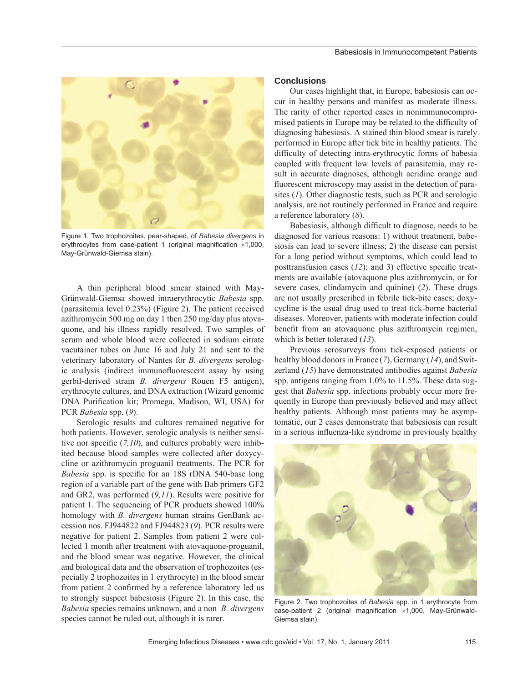

Figure 1. Two trophozoites, pear-shaped, of *Babesia divergens* in erythrocytes from case-patient 1 (original magnification  $\times$ 1,000, May-Grünwald-Giemsa stain).

A thin peripheral blood smear stained with May-Grünwald-Giemsa showed intraerythrocytic *Babesia* spp. (parasitemia level 0.23%) (Figure 2). The patient received azithromycin 500 mg on day 1 then 250 mg/day plus atovaquone, and his illness rapidly resolved. Two samples of serum and whole blood were collected in sodium citrate vacutainer tubes on June 16 and July 21 and sent to the veterinary laboratory of Nantes for *B. divergens* serologic analysis (indirect immunofluorescent assay by using gerbil-derived strain *B. divergens* Rouen F5 antigen), erythrocyte cultures, and DNA extraction (Wizard genomic DNA Purification kit; Promega, Madison, WI, USA) for PCR *Babesia* spp. (*9*).

Serologic results and cultures remained negative for both patients. However, serologic analysis is neither sensitive nor specific  $(7,10)$ , and cultures probably were inhibited because blood samples were collected after doxycycline or azithromycin proguanil treatments. The PCR for *Babesia* spp. is specific for an 18S rDNA 540-base long region of a variable part of the gene with Bab primers GF2 and GR2, was performed (*9,11*). Results were positive for patient 1. The sequencing of PCR products showed 100% homology with *B. divergens* human strains GenBank accession nos. FJ944822 and FJ944823 (*9*). PCR results were negative for patient 2. Samples from patient 2 were collected 1 month after treatment with atovaquone-proguanil, and the blood smear was negative. However, the clinical and biological data and the observation of trophozoites (especially 2 trophozoites in 1 erythrocyte) in the blood smear from patient 2 confirmed by a reference laboratory led us to strongly suspect babesiosis (Figure 2). In this case, the *Babesia* species remains unknown, and a non–*B. divergens* species cannot be ruled out, although it is rarer.

#### **Conclusions**

Our cases highlight that, in Europe, babesiosis can occur in healthy persons and manifest as moderate illness. The rarity of other reported cases in nonimmunocompromised patients in Europe may be related to the difficulty of diagnosing babesiosis. A stained thin blood smear is rarely performed in Europe after tick bite in healthy patients. The difficulty of detecting intra-erythrocytic forms of babesia coupled with frequent low levels of parasitemia, may result in accurate diagnoses, although acridine orange and fluorescent microscopy may assist in the detection of parasites (*1*). Other diagnostic tests, such as PCR and serologic analysis, are not routinely performed in France and require a reference laboratory (*8*).

Babesiosis, although difficult to diagnose, needs to be diagnosed for various reasons: 1) without treatment, babesiosis can lead to severe illness; 2) the disease can persist for a long period without symptoms, which could lead to posttransfusion cases  $(12)$ ; and 3) effective specific treatments are available (atovaquone plus azithromycin, or for severe cases, clindamycin and quinine) (*2*). These drugs are not usually prescribed in febrile tick-bite cases; doxycycline is the usual drug used to treat tick-borne bacterial diseases. Moreover, patients with moderate infection could benefit from an atovaquone plus azithromycin regimen, which is better tolerated (*13*).

Previous serosurveys from tick-exposed patients or healthy blood donors in France (*7*), Germany (*14*), and Switzerland (*15*) have demonstrated antibodies against *Babesia* spp. antigens ranging from 1.0% to 11.5%. These data suggest that *Babesia* spp. infections probably occur more frequently in Europe than previously believed and may affect healthy patients. Although most patients may be asymptomatic, our 2 cases demonstrate that babesiosis can result in a serious influenza-like syndrome in previously healthy



Figure 2. Two trophozoites of *Babesia* spp. in 1 erythrocyte from case-patient 2 (original magnification  $\times$ 1,000, May-Grünwald-Giemsa stain).